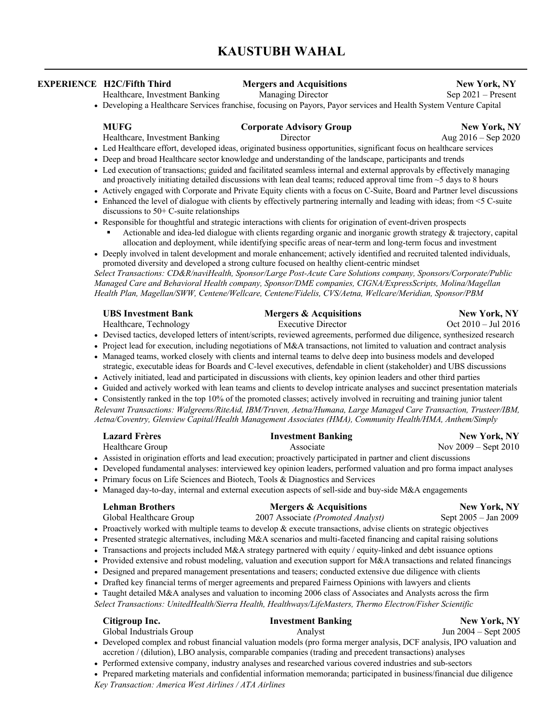# **KAUSTUBH WAHAL**

## **EXPERIENCE H2C/Fifth Third Mergers and Acquisitions New York, NY**

Healthcare, Investment Banking Managing Director Sep 2021 – Present

• Developing a Healthcare Services franchise, focusing on Payors, Payor services and Health System Venture Capital

**MUFG Corporate Advisory Group New York, NY** 

- Healthcare, Investment Banking Director Aug 2016 Sep 2020
- Led Healthcare effort, developed ideas, originated business opportunities, significant focus on healthcare services
- Deep and broad Healthcare sector knowledge and understanding of the landscape, participants and trends
- Led execution of transactions; guided and facilitated seamless internal and external approvals by effectively managing and proactively initiating detailed discussions with lean deal teams; reduced approval time from  $\sim$ 5 days to 8 hours
- Actively engaged with Corporate and Private Equity clients with a focus on C-Suite, Board and Partner level discussions
- Enhanced the level of dialogue with clients by effectively partnering internally and leading with ideas; from <5 C-suite discussions to 50+ C-suite relationships
- Responsible for thoughtful and strategic interactions with clients for origination of event-driven prospects Actionable and idea-led dialogue with clients regarding organic and inorganic growth strategy & trajectory, capital allocation and deployment, while identifying specific areas of near-term and long-term focus and investment
- Deeply involved in talent development and morale enhancement; actively identified and recruited talented individuals, promoted diversity and developed a strong culture focused on healthy client-centric mindset

*Select Transactions: CD&R/naviHealth, Sponsor/Large Post-Acute Care Solutions company, Sponsors/Corporate/Public Managed Care and Behavioral Health company, Sponsor/DME companies, CIGNA/ExpressScripts, Molina/Magellan Health Plan, Magellan/SWW, Centene/Wellcare, Centene/Fidelis, CVS/Aetna, Wellcare/Meridian, Sponsor/PBM*

| <b>UBS Investment Bank</b> | <b>Mergers &amp; Acquisitions</b>                                                                                          | <b>New York, NY</b>   |
|----------------------------|----------------------------------------------------------------------------------------------------------------------------|-----------------------|
| Healthcare, Technology     | Executive Director                                                                                                         | $Oct 2010 - Jul 2016$ |
|                            | • Devised tactics, developed letters of intent/scripts, reviewed agreements, performed due diligence, synthesized research |                       |
|                            | • Project lead for execution, including negotiations of M&A transactions, not limited to valuation and contract analysis   |                       |

- Managed teams, worked closely with clients and internal teams to delve deep into business models and developed strategic, executable ideas for Boards and C-level executives, defendable in client (stakeholder) and UBS discussions
- Actively initiated, lead and participated in discussions with clients, key opinion leaders and other third parties
- Guided and actively worked with lean teams and clients to develop intricate analyses and succinct presentation materials

• Consistently ranked in the top 10% of the promoted classes; actively involved in recruiting and training junior talent *Relevant Transactions: Walgreens/RiteAid, IBM/Truven, Aetna/Humana, Large Managed Care Transaction, Trusteer/IBM, Aetna/Coventry, Glenview Capital/Health Management Associates (HMA), Community Health/HMA, Anthem/Simply*

| <b>Lazard Frères</b>                                                                                                 | <b>Investment Banking</b>                                                                                             | <b>New York, NY</b>      |  |  |  |
|----------------------------------------------------------------------------------------------------------------------|-----------------------------------------------------------------------------------------------------------------------|--------------------------|--|--|--|
| Healthcare Group                                                                                                     | Associate                                                                                                             | Nov $2009 -$ Sept $2010$ |  |  |  |
| • Assisted in origination efforts and lead execution; proactively participated in partner and client discussions     |                                                                                                                       |                          |  |  |  |
| • Developed fundamental analyses: interviewed key opinion leaders, performed valuation and pro forma impact analyses |                                                                                                                       |                          |  |  |  |
|                                                                                                                      | • Primary focus on Life Sciences and Biotech, Tools & Diagnostics and Services                                        |                          |  |  |  |
| • Managed day-to-day, internal and external execution aspects of sell-side and buy-side M&A engagements              |                                                                                                                       |                          |  |  |  |
| <b>Lehman Brothers</b>                                                                                               | <b>Mergers &amp; Acquisitions</b>                                                                                     | <b>New York, NY</b>      |  |  |  |
| Global Healthcare Group                                                                                              | 2007 Associate (Promoted Analyst)                                                                                     | Sept 2005 - Jan 2009     |  |  |  |
|                                                                                                                      | • Proactively worked with multiple teams to develop & execute transactions, advise clients on strategic objectives    |                          |  |  |  |
|                                                                                                                      | • Presented strategic alternatives, including M&A scenarios and multi-faceted financing and capital raising solutions |                          |  |  |  |
|                                                                                                                      | • Transactions and projects included M&A strategy partnered with equity / equity-linked and debt issuance options     |                          |  |  |  |
|                                                                                                                      | • Provided extensive and robust modeling, valuation and execution support for M&A transactions and related financings |                          |  |  |  |
|                                                                                                                      | • Designed and prepared management presentations and teasers; conducted extensive due diligence with clients          |                          |  |  |  |
|                                                                                                                      | Duetted leav financial towns of moveou acroganants and monored Founded Onivians with lawyians and alignts             |                          |  |  |  |

- Drafted key financial terms of merger agreements and prepared Fairness Opinions with lawyers and clients
- Taught detailed M&A analyses and valuation to incoming 2006 class of Associates and Analysts across the firm *Select Transactions: UnitedHealth/Sierra Health, Healthways/LifeMasters, Thermo Electron/Fisher Scientific*

|                                                                                                          | Citigroup Inc.                                                                                                        | <b>Investment Banking</b>                                                                                  | New York, NY         |  |
|----------------------------------------------------------------------------------------------------------|-----------------------------------------------------------------------------------------------------------------------|------------------------------------------------------------------------------------------------------------|----------------------|--|
|                                                                                                          | Global Industrials Group                                                                                              | Analyst                                                                                                    | Jun 2004 – Sept 2005 |  |
|                                                                                                          | • Developed complex and robust financial valuation models (pro forma merger analysis, DCF analysis, IPO valuation and |                                                                                                            |                      |  |
| accretion / (dilution), LBO analysis, comparable companies (trading and precedent transactions) analyses |                                                                                                                       |                                                                                                            |                      |  |
|                                                                                                          |                                                                                                                       | • Performed extensive company, industry analyses and researched various covered industries and sub-sectors |                      |  |

• Prepared marketing materials and confidential information memoranda; participated in business/financial due diligence

*Key Transaction: America West Airlines / ATA Airlines*